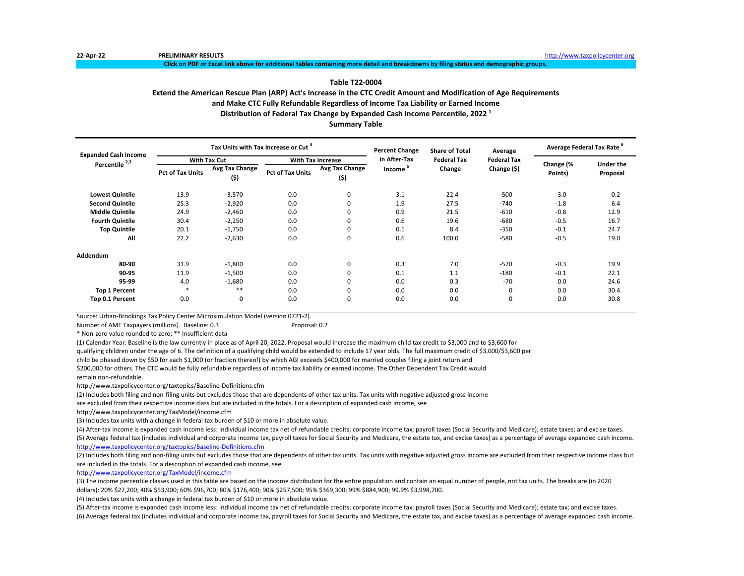**Click on PDF or Excel link above for additional tables containing more detail and breakdowns by filing status and demographic groups.**

# **Table T22-0004**

# **Extend the American Rescue Plan (ARP) Act's Increase in the CTC Credit Amount and Modification of Age Requirements**

**and Make CTC Fully Refundable Regardless of Income Tax Liability or Earned Income**

**Distribution of Federal Tax Change by Expanded Cash Income Percentile, 2022<sup>1</sup>** 

**Summary Table**

| <b>Expanded Cash Income</b> |                         |                        | Tax Units with Tax Increase or Cut <sup>4</sup> |                          | <b>Percent Change</b> | <b>Share of Total</b> | Average            | Average Federal Tax Rate <sup>6</sup> |                  |
|-----------------------------|-------------------------|------------------------|-------------------------------------------------|--------------------------|-----------------------|-----------------------|--------------------|---------------------------------------|------------------|
| Percentile <sup>2,3</sup>   |                         | <b>With Tax Cut</b>    |                                                 | <b>With Tax Increase</b> | in After-Tax          | <b>Federal Tax</b>    | <b>Federal Tax</b> | Change (%                             | <b>Under the</b> |
|                             | <b>Pct of Tax Units</b> | Avg Tax Change<br>(\$) | <b>Pct of Tax Units</b>                         | Avg Tax Change<br>(\$)   | Income                | Change                | Change (\$)        | Points)                               | Proposal         |
| <b>Lowest Quintile</b>      | 13.9                    | $-3,570$               | 0.0                                             | 0                        | 3.1                   | 22.4                  | $-500$             | $-3.0$                                | 0.2              |
| <b>Second Quintile</b>      | 25.3                    | $-2,920$               | 0.0                                             | 0                        | 1.9                   | 27.5                  | $-740$             | $-1.8$                                | 6.4              |
| <b>Middle Quintile</b>      | 24.9                    | $-2,460$               | 0.0                                             | 0                        | 0.9                   | 21.5                  | $-610$             | $-0.8$                                | 12.9             |
| <b>Fourth Quintile</b>      | 30.4                    | $-2,250$               | 0.0                                             | 0                        | 0.6                   | 19.6                  | $-680$             | $-0.5$                                | 16.7             |
| <b>Top Quintile</b>         | 20.1                    | $-1,750$               | 0.0                                             | 0                        | 0.1                   | 8.4                   | $-350$             | $-0.1$                                | 24.7             |
| All                         | 22.2                    | $-2,630$               | 0.0                                             | 0                        | 0.6                   | 100.0                 | $-580$             | $-0.5$                                | 19.0             |
| Addendum                    |                         |                        |                                                 |                          |                       |                       |                    |                                       |                  |
| 80-90                       | 31.9                    | $-1,800$               | 0.0                                             | 0                        | 0.3                   | 7.0                   | $-570$             | $-0.3$                                | 19.9             |
| 90-95                       | 11.9                    | $-1,500$               | 0.0                                             | 0                        | 0.1                   | 1.1                   | $-180$             | $-0.1$                                | 22.1             |
| 95-99                       | 4.0                     | $-1,680$               | 0.0                                             | 0                        | 0.0                   | 0.3                   | $-70$              | 0.0                                   | 24.6             |
| <b>Top 1 Percent</b>        |                         | $* *$                  | 0.0                                             | 0                        | 0.0                   | 0.0                   | $\mathbf 0$        | 0.0                                   | 30.4             |
| Top 0.1 Percent             | 0.0                     | 0                      | 0.0                                             | 0                        | 0.0                   | 0.0                   | 0                  | 0.0                                   | 30.8             |

Source: Urban-Brookings Tax Policy Center Microsimulation Model (version 0721-2).

Number of AMT Taxpayers (millions). Baseline: 0.3 Proposal: 0.2

\* Non-zero value rounded to zero; \*\* Insufficient data

(1) Calendar Year. Baseline is the law currently in place as of April 20, 2022. Proposal would increase the maximum child tax credit to \$3,000 and to \$3,600 for qualifying children under the age of 6. The definition of a qualifying child would be extended to include 17 year olds. The full maximum credit of \$3,000/\$3,600 per

child be phased down by \$50 for each \$1,000 (or fraction thereof) by which AGI exceeds \$400,000 for married couples filing a joint return and

\$200,000 for others. The CTC would be fully refundable regardless of income tax liability or earned income. The Other Dependent Tax Credit would remain non-refundable.

http://www.taxpolicycenter.org/taxtopics/Baseline-Definitions.cfm

(2) Includes both filing and non-filing units but excludes those that are dependents of other tax units. Tax units with negative adjusted gross income

are excluded from their respective income class but are included in the totals. For a description of expanded cash income, see

http://www.taxpolicycenter.org/TaxModel/income.cfm

(3) Includes tax units with a change in federal tax burden of \$10 or more in absolute value.

(4) After-tax income is expanded cash income less: individual income tax net of refundable credits; corporate income tax; payroll taxes (Social Security and Medicare); estate taxes; and excise taxes. (5) Average federal tax (includes individual and corporate income tax, payroll taxes for Social Security and Medicare, the estate tax, and excise taxes) as a percentage of average expanded cash income. <http://www.taxpolicycenter.org/taxtopics/Baseline-Definitions.cfm>

(2) Includes both filing and non-filing units but excludes those that are dependents of other tax units. Tax units with negative adjusted gross income are excluded from their respective income class but are included in the totals. For a description of expanded cash income, see

[http://www.taxpolicycente](http://www.taxpolicycenter.org/TaxModel/income.cfm)r.org/TaxModel/income.cfm

(3) The income percentile classes used in this table are based on the income distribution for the entire population and contain an equal number of people, not tax units. The breaks are (in 2020 dollars): 20% \$27,200; 40% \$53,900; 60% \$96,700; 80% \$176,400; 90% \$257,500; 95% \$369,300; 99% \$884,900; 99.9% \$3,998,700.

(4) Includes tax units with a change in federal tax burden of \$10 or more in absolute value.

(5) After-tax income is expanded cash income less: individual income tax net of refundable credits; corporate income tax; payroll taxes (Social Security and Medicare); estate tax; and excise taxes. (6) Average federal tax (includes individual and corporate income tax, payroll taxes for Social Security and Medicare, the estate tax, and excise taxes) as a percentage of average expanded cash income.

**22-Apr-22 PRELIMINARY RESULTS** [http://www.t](http://www.taxpolicycenter.org/)axpolicycenter.org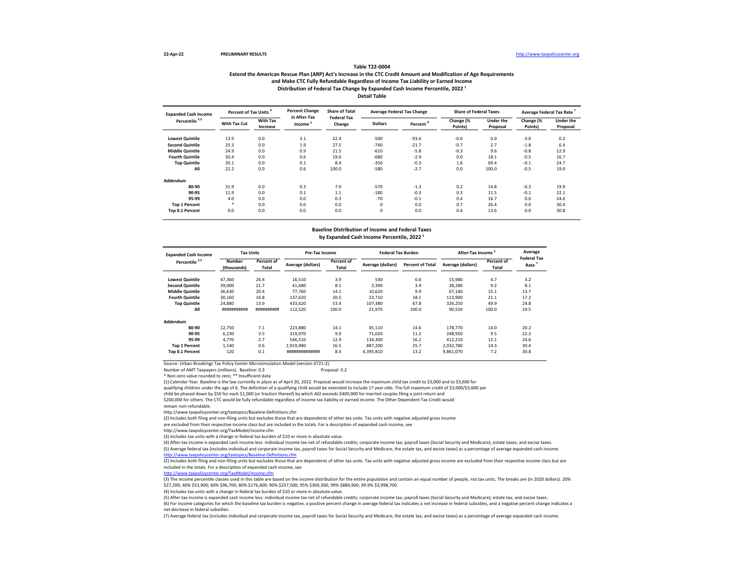### **Extend the American Rescue Plan (ARP) Act's Increase in the CTC Credit Amount and Modification of Age Requirements and Make CTC Fully Refundable Regardless of Income Tax Liability or Earned Income Table T22-0004** Distribution of Federal Tax Change by Expanded Cash Income Percentile, 2022<sup>1</sup> **Detail Table**

| <b>Expanded Cash Income</b> | Percent of Tax Units |                             | <b>Percent Change</b><br>in After-Tax | <b>Share of Total</b><br><b>Federal Tax</b> |                | <b>Average Federal Tax Change</b> | <b>Share of Federal Taxes</b> |                       | Average Federal Tax Rate |                              |
|-----------------------------|----------------------|-----------------------------|---------------------------------------|---------------------------------------------|----------------|-----------------------------------|-------------------------------|-----------------------|--------------------------|------------------------------|
| Percentile <sup>2,3</sup>   | With Tax Cut         | <b>With Tax</b><br>Increase | Income <sup>5</sup>                   | Change                                      | <b>Dollars</b> | Percent <sup>6</sup>              | Change (%<br>Points)          | Under the<br>Proposal | Change (%<br>Points)     | <b>Under the</b><br>Proposal |
| <b>Lowest Quintile</b>      | 13.9                 | 0.0                         | 3.1                                   | 22.4                                        | $-500$         | $-93.6$                           | $-0.6$                        | 0.0                   | $-3.0$                   | 0.2                          |
| <b>Second Quintile</b>      | 25.3                 | 0.0                         | 1.9                                   | 27.5                                        | $-740$         | $-21.7$                           | $-0.7$                        | 2.7                   | $-1.8$                   | 6.4                          |
| <b>Middle Quintile</b>      | 24.9                 | 0.0                         | 0.9                                   | 21.5                                        | $-610$         | $-5.8$                            | $-0.3$                        | 9.6                   | $-0.8$                   | 12.9                         |
| <b>Fourth Quintile</b>      | 30.4                 | 0.0                         | 0.6                                   | 19.6                                        | $-680$         | $-2.9$                            | 0.0                           | 18.1                  | $-0.5$                   | 16.7                         |
| <b>Top Quintile</b>         | 20.1                 | 0.0                         | 0.1                                   | 8.4                                         | $-350$         | $-0.3$                            | 1.6                           | 69.4                  | $-0.1$                   | 24.7                         |
| All                         | 22.2                 | 0.0                         | 0.6                                   | 100.0                                       | $-580$         | $-2.7$                            | 0.0                           | 100.0                 | $-0.5$                   | 19.0                         |
| Addendum                    |                      |                             |                                       |                                             |                |                                   |                               |                       |                          |                              |
| 80-90                       | 31.9                 | 0.0                         | 0.3                                   | 7.0                                         | $-570$         | $-1.3$                            | 0.2                           | 14.8                  | $-0.3$                   | 19.9                         |
| 90-95                       | 11.9                 | 0.0                         | 0.1                                   | 1.1                                         | $-180$         | $-0.3$                            | 0.3                           | 11.5                  | $-0.1$                   | 22.1                         |
| 95-99                       | 4.0                  | 0.0                         | 0.0                                   | 0.3                                         | $-70$          | $-0.1$                            | 0.4                           | 16.7                  | 0.0                      | 24.6                         |
| <b>Top 1 Percent</b>        | ٠                    | 0.0                         | 0.0                                   | 0.0                                         | $\Omega$       | 0.0                               | 0.7                           | 26.4                  | 0.0                      | 30.4                         |
| Top 0.1 Percent             | 0.0                  | 0.0                         | 0.0                                   | 0.0                                         | $\Omega$       | 0.0                               | 0.4                           | 13.6                  | 0.0                      | 30.8                         |

# **Baseline Distribution of Income and Federal Taxes** by Expanded Cash Income Percentile, 2022<sup>1</sup>

| <b>Expanded Cash Income</b> | <b>Tax Units</b>             |                     | Pre-Tax Income    |                     | <b>Federal Tax Burden</b> |                         | <b>After-Tax Income</b> |                            | Average                    |
|-----------------------------|------------------------------|---------------------|-------------------|---------------------|---------------------------|-------------------------|-------------------------|----------------------------|----------------------------|
| Percentile <sup>2,3</sup>   | <b>Number</b><br>(thousands) | Percent of<br>Total | Average (dollars) | Percent of<br>Total | Average (dollars)         | <b>Percent of Total</b> | Average (dollars)       | <b>Percent of</b><br>Total | <b>Federal Tax</b><br>Rate |
| <b>Lowest Quintile</b>      | 47.360                       | 26.4                | 16,510            | 3.9                 | 530                       | 0.6                     | 15,980                  | 4.7                        | 3.2                        |
| <b>Second Quintile</b>      | 39,000                       | 21.7                | 41.680            | 8.1                 | 3.390                     | 3.4                     | 38,280                  | 9.2                        | 8.1                        |
| <b>Middle Quintile</b>      | 36,630                       | 20.4                | 77.760            | 14.1                | 10,620                    | 9.9                     | 67,140                  | 15.1                       | 13.7                       |
| <b>Fourth Quintile</b>      | 30,160                       | 16.8                | 137.620           | 20.5                | 23.710                    | 18.1                    | 113,900                 | 21.1                       | 17.2                       |
| <b>Top Quintile</b>         | 24,880                       | 13.9                | 433,620           | 53.4                | 107,380                   | 67.8                    | 326,250                 | 49.9                       | 24.8                       |
| All                         | ###########                  | ##########          | 112,520           | 100.0               | 21,970                    | 100.0                   | 90,550                  | 100.0                      | 19.5                       |
| Addendum                    |                              |                     |                   |                     |                           |                         |                         |                            |                            |
| 80-90                       | 12,750                       | 7.1                 | 223.880           | 14.1                | 45,110                    | 14.6                    | 178,770                 | 14.0                       | 20.2                       |
| 90-95                       | 6.230                        | 3.5                 | 319,970           | 9.9                 | 71,020                    | 11.2                    | 248,950                 | 9.5                        | 22.2                       |
| 95-99                       | 4.770                        | 2.7                 | 546.510           | 12.9                | 134,300                   | 16.2                    | 412.210                 | 12.1                       | 24.6                       |
| <b>Top 1 Percent</b>        | 1.140                        | 0.6                 | 2.919.980         | 16.5                | 887.200                   | 25.7                    | 2.032.780               | 14.3                       | 30.4                       |
| Top 0.1 Percent             | 120                          | 0.1                 | ##############    | 8.4                 | 4.395.810                 | 13.2                    | 9.861.070               | 7.2                        | 30.8                       |

Source: Urban-Brookings Tax Policy Center Microsimulation Model (version 0721-2).

Number of AMT Taxpayers (millions). Baseline: 0.3

\* Non-zero value rounded to zero; \*\* Insufficient data

(1) Calendar Year. Baseline is the law currently in place as of April 20, 2022. Proposal would increase the maximum child tax credit to \$3,000 and to \$3,600 for

qualifying children under the age of 6. The definition of a qualifying child would be extended to include 17 year olds. The full maximum credit of \$3,000/\$3,600 per

child be phased down by \$50 for each \$1,000 (or fraction thereof) by which AGI exceeds \$400,000 for married couples filing a joint return and

\$200,000 for others. The CTC would be fully refundable regardless of income tax liability or earned income. The Other Dependent Tax Credit would

remain non-refundable.

http://www.taxpolicycenter.org/taxtopics/Baseline-Definitions.cfm

(2) Includes both filing and non-filing units but excludes those that are dependents of other tax units. Tax units with negative adjusted gross income

are excluded from their respective income class but are included in the totals. For a description of expanded cash income, see

http://www.taxpolicycenter.org/TaxModel/income.cfm

(3) Includes tax units with a change in federal tax burden of \$10 or more in absolute value.

(4) After-tax income is expanded cash income less: individual income tax net of refundable credits; corporate income tax; payroll taxes (Social Security and Medicare); estate taxes; and excise taxes. (5) Average federal tax (includes individual and corporate income tax, payroll taxes for Social Security and Medicare, the estate tax, and excise taxes) as a percentage of average expanded cash income. <http://www.taxpolicycenter.org/taxtopics/Baseline-Definitions.cfm>

(2) Includes both filing and non-filing units but excludes those that are dependents of other tax units. Tax units with negative adjusted gross income are excluded from their respective income class but are included in the totals. For a description of expanded cash income, see

[http://www.taxpolicycent](http://www.taxpolicycenter.org/TaxModel/income.cfm)er.org/TaxModel/income.cfm

(3) The income percentile classes used in this table are based on the income distribution for the entire population and contain an equal number of people, not tax units. The breaks are (in 2020 dollars): 20% \$27,200; 40% \$53,900; 60% \$96,700; 80% \$176,400; 90% \$257,500; 95% \$369,300; 99% \$884,900; 99.9% \$3,998,700.

(4) Includes tax units with a change in federal tax burden of \$10 or more in absolute value.

(5) After-tax income is expanded cash income less: individual income tax net of refundable credits; corporate income tax; payroll taxes (Social Security and Medicare); estate tax; and excise taxes.

(6) For income categories for which the baseline tax burden is negative, a positive percent change in average federal tax indicates a net increase in federal subsidies, and a negative percent change indicates a net decrease in federal subsidies.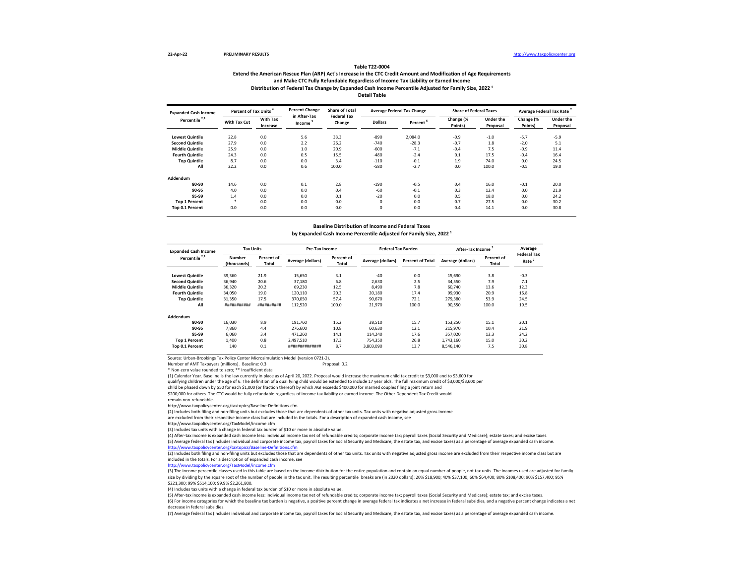### **Extend the American Rescue Plan (ARP) Act's Increase in the CTC Credit Amount and Modification of Age Requirements and Make CTC Fully Refundable Regardless of Income Tax Liability or Earned Income Table T22-0004** Distribution of Federal Tax Change by Expanded Cash Income Percentile Adjusted for Family Size, 2022<sup>1</sup> **Detail Table**

| <b>Expanded Cash Income</b> | <b>Percent of Tax Units</b> |                             | <b>Percent Change</b>  | <b>Share of Total</b><br><b>Federal Tax</b> |                | <b>Average Federal Tax Change</b> | <b>Share of Federal Taxes</b> |                       | Average Federal Tax Rate |                       |
|-----------------------------|-----------------------------|-----------------------------|------------------------|---------------------------------------------|----------------|-----------------------------------|-------------------------------|-----------------------|--------------------------|-----------------------|
| Percentile <sup>2,3</sup>   | With Tax Cut                | <b>With Tax</b><br>Increase | in After-Tax<br>Income | Change                                      | <b>Dollars</b> | Percent                           | Change (%<br>Points)          | Under the<br>Proposal | Change (%<br>Points)     | Under the<br>Proposal |
| <b>Lowest Quintile</b>      | 22.8                        | 0.0                         | 5.6                    | 33.3                                        | $-890$         | 2,084.0                           | $-0.9$                        | $-1.0$                | $-5.7$                   | $-5.9$                |
| <b>Second Quintile</b>      | 27.9                        | 0.0                         | 2.2                    | 26.2                                        | $-740$         | $-28.3$                           | $-0.7$                        | 1.8                   | $-2.0$                   | 5.1                   |
| <b>Middle Quintile</b>      | 25.9                        | 0.0                         | 1.0                    | 20.9                                        | $-600$         | $-7.1$                            | $-0.4$                        | 7.5                   | $-0.9$                   | 11.4                  |
| <b>Fourth Quintile</b>      | 24.3                        | 0.0                         | 0.5                    | 15.5                                        | $-480$         | $-2.4$                            | 0.1                           | 17.5                  | $-0.4$                   | 16.4                  |
| <b>Top Quintile</b>         | 8.7                         | 0.0                         | 0.0                    | 3.4                                         | $-110$         | $-0.1$                            | 1.9                           | 74.0                  | 0.0                      | 24.5                  |
| All                         | 22.2                        | 0.0                         | 0.6                    | 100.0                                       | $-580$         | $-2.7$                            | 0.0                           | 100.0                 | $-0.5$                   | 19.0                  |
| Addendum                    |                             |                             |                        |                                             |                |                                   |                               |                       |                          |                       |
| 80-90                       | 14.6                        | 0.0                         | 0.1                    | 2.8                                         | $-190$         | $-0.5$                            | 0.4                           | 16.0                  | $-0.1$                   | 20.0                  |
| 90-95                       | 4.0                         | 0.0                         | 0.0                    | 0.4                                         | $-60$          | $-0.1$                            | 0.3                           | 12.4                  | 0.0                      | 21.9                  |
| 95-99                       | 1.4                         | 0.0                         | 0.0                    | 0.1                                         | $-20$          | 0.0                               | 0.5                           | 18.0                  | 0.0                      | 24.2                  |
| <b>Top 1 Percent</b>        | $\ast$                      | 0.0                         | 0.0                    | 0.0                                         | O              | 0.0                               | 0.7                           | 27.5                  | 0.0                      | 30.2                  |
| Top 0.1 Percent             | 0.0                         | 0.0                         | 0.0                    | 0.0                                         | 0              | 0.0                               | 0.4                           | 14.1                  | 0.0                      | 30.8                  |

# **Baseline Distribution of Income and Federal Taxes** by Expanded Cash Income Percentile Adjusted for Family Size, 2022<sup>1</sup>

| <b>Expanded Cash Income</b> | <b>Tax Units</b>      |                     | <b>Pre-Tax Income</b> |                     | <b>Federal Tax Burden</b> |                         | <b>After-Tax Income</b> |                     | Average                    |
|-----------------------------|-----------------------|---------------------|-----------------------|---------------------|---------------------------|-------------------------|-------------------------|---------------------|----------------------------|
| Percentile <sup>2,3</sup>   | Number<br>(thousands) | Percent of<br>Total | Average (dollars)     | Percent of<br>Total | Average (dollars)         | <b>Percent of Total</b> | Average (dollars)       | Percent of<br>Total | <b>Federal Tax</b><br>Rate |
| <b>Lowest Quintile</b>      | 39,360                | 21.9                | 15,650                | 3.1                 | $-40$                     | 0.0                     | 15,690                  | 3.8                 | $-0.3$                     |
| <b>Second Quintile</b>      | 36,940                | 20.6                | 37,180                | 6.8                 | 2.630                     | 2.5                     | 34,550                  | 7.9                 | 7.1                        |
| <b>Middle Quintile</b>      | 36,320                | 20.2                | 69,230                | 12.5                | 8.490                     | 7.8                     | 60.740                  | 13.6                | 12.3                       |
| <b>Fourth Quintile</b>      | 34,050                | 19.0                | 120,110               | 20.3                | 20,180                    | 17.4                    | 99.930                  | 20.9                | 16.8                       |
| <b>Top Quintile</b>         | 31,350                | 17.5                | 370,050               | 57.4                | 90,670                    | 72.1                    | 279,380                 | 53.9                | 24.5                       |
| All                         | ###########           | ##########          | 112,520               | 100.0               | 21,970                    | 100.0                   | 90,550                  | 100.0               | 19.5                       |
| Addendum                    |                       |                     |                       |                     |                           |                         |                         |                     |                            |
| 80-90                       | 16,030                | 8.9                 | 191,760               | 15.2                | 38,510                    | 15.7                    | 153,250                 | 15.1                | 20.1                       |
| 90-95                       | 7.860                 | 4.4                 | 276,600               | 10.8                | 60,630                    | 12.1                    | 215,970                 | 10.4                | 21.9                       |
| 95-99                       | 6,060                 | 3.4                 | 471.260               | 14.1                | 114,240                   | 17.6                    | 357.020                 | 13.3                | 24.2                       |
| <b>Top 1 Percent</b>        | 1,400                 | 0.8                 | 2,497,510             | 17.3                | 754,350                   | 26.8                    | 1,743,160               | 15.0                | 30.2                       |
| <b>Top 0.1 Percent</b>      | 140                   | 0.1                 | ***************       | 8.7                 | 3,803,090                 | 13.7                    | 8.546.140               | 7.5                 | 30.8                       |

Source: Urban-Brookings Tax Policy Center Microsimulation Model (version 0721-2).

Number of AMT Taxpayers (millions). Baseline: 0.3

\* Non-zero value rounded to zero; \*\* Insufficient data

(1) Calendar Year. Baseline is the law currently in place as of April 20, 2022. Proposal would increase the maximum child tax credit to \$3,000 and to \$3,600 for

qualifying children under the age of 6. The definition of a qualifying child would be extended to include 17 year olds. The full maximum credit of \$3,000/\$3,600 per

child be phased down by \$50 for each \$1,000 (or fraction thereof) by which AGI exceeds \$400,000 for married couples filing a joint return and

\$200,000 for others. The CTC would be fully refundable regardless of income tax liability or earned income. The Other Dependent Tax Credit would

remain non-refundable.

http://www.taxpolicycenter.org/taxtopics/Baseline-Definitions.cfm

(2) Includes both filing and non-filing units but excludes those that are dependents of other tax units. Tax units with negative adjusted gross income

are excluded from their respective income class but are included in the totals. For a description of expanded cash income, see

http://www.taxpolicycenter.org/TaxModel/income.cfm

(4) After-tax income is expanded cash income less: individual income tax net of refundable credits; corporate income tax; payroll taxes (Social Security and Medicare); estate taxes; and excise taxes. (5) Average federal tax (includes individual and corporate income tax, payroll taxes for Social Security and Medicare, the estate tax, and excise taxes) as a percentage of average expanded cash income. <http://www.taxpolicycenter.org/taxtopics/Baseline-Definitions.cfm>

(2) Includes both filing and non-filing units but excludes those that are dependents of other tax units. Tax units with negative adjusted gross income are excluded from their respective income class but are included in the totals. For a description of expanded cash income, see

[http://www.taxpolicycente](http://www.taxpolicycenter.org/TaxModel/income.cfm)r.org/TaxModel/income.cfm

(3) The income percentile classes used in this table are based on the income distribution for the entire population and contain an equal number of people, not tax units. The incomes used are adjusted for family size by dividing by the square root of the number of people in the tax unit. The resulting percentile breaks are (in 2020 dollars): 20% \$18,900; 40% \$37,100; 60% \$64,400; 80% \$108,400; 90% \$17,400; 90% \$157,400; 95% \$221,300; 99% \$514,100; 99.9% \$2,261,800.

(4) Includes tax units with a change in federal tax burden of \$10 or more in absolute value.

(5) After-tax income is expanded cash income less: individual income tax net of refundable credits; corporate income tax; payroll taxes (Social Security and Medicare); estate tax; and excise taxes.

(6) For income categories for which the baseline tax burden is negative, a positive percent change in average federal tax indicates a net increase in federal subsidies, and a negative percent change indicates a net decrease in federal subsidies.

<sup>(3)</sup> Includes tax units with a change in federal tax burden of \$10 or more in absolute value.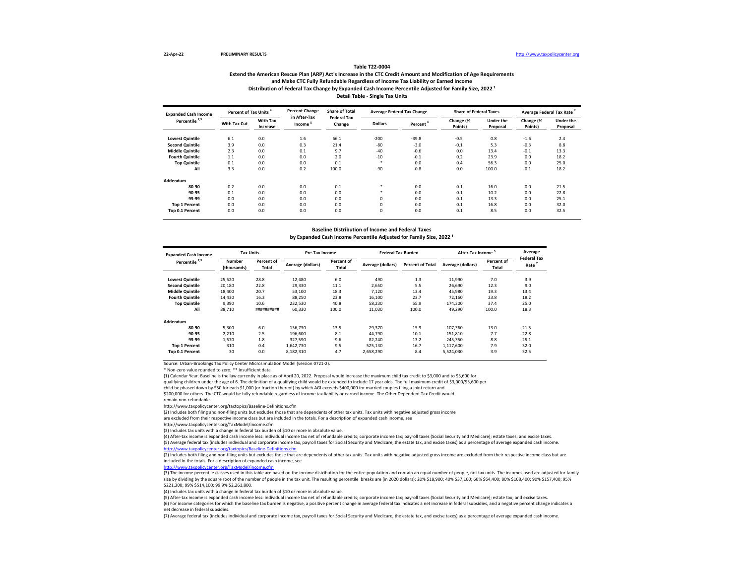# **Extend the American Rescue Plan (ARP) Act's Increase in the CTC Credit Amount and Modification of Age Requirements and Make CTC Fully Refundable Regardless of Income Tax Liability or Earned Income Table T22-0004** Distribution of Federal Tax Change by Expanded Cash Income Percentile Adjusted for Family Size, 2022<sup>1</sup> **Detail Table - Single Tax Units**

| <b>Expanded Cash Income</b> | Percent of Tax Units <sup>4</sup> |                             | <b>Percent Change</b>               | <b>Share of Total</b><br><b>Federal Tax</b> |                | <b>Average Federal Tax Change</b> | <b>Share of Federal Taxes</b> |                       | Average Federal Tax Rate |                       |
|-----------------------------|-----------------------------------|-----------------------------|-------------------------------------|---------------------------------------------|----------------|-----------------------------------|-------------------------------|-----------------------|--------------------------|-----------------------|
| Percentile <sup>2,3</sup>   | With Tax Cut                      | <b>With Tax</b><br>Increase | in After-Tax<br>Income <sup>5</sup> | Change                                      | <b>Dollars</b> | Percent <sup>6</sup>              | Change (%<br>Points)          | Under the<br>Proposal | Change (%<br>Points)     | Under the<br>Proposal |
| <b>Lowest Quintile</b>      | 6.1                               | 0.0                         | 1.6                                 | 66.1                                        | $-200$         | $-39.8$                           | $-0.5$                        | 0.8                   | $-1.6$                   | 2.4                   |
| <b>Second Quintile</b>      | 3.9                               | 0.0                         | 0.3                                 | 21.4                                        | $-80$          | $-3.0$                            | $-0.1$                        | 5.3                   | $-0.3$                   | 8.8                   |
| <b>Middle Quintile</b>      | 2.3                               | 0.0                         | 0.1                                 | 9.7                                         | $-40$          | $-0.6$                            | 0.0                           | 13.4                  | $-0.1$                   | 13.3                  |
| <b>Fourth Quintile</b>      | 1.1                               | 0.0                         | 0.0                                 | 2.0                                         | $-10$          | $-0.1$                            | 0.2                           | 23.9                  | 0.0                      | 18.2                  |
| <b>Top Quintile</b>         | 0.1                               | 0.0                         | 0.0                                 | 0.1                                         |                | 0.0                               | 0.4                           | 56.3                  | 0.0                      | 25.0                  |
| All                         | 3.3                               | 0.0                         | 0.2                                 | 100.0                                       | $-90$          | $-0.8$                            | 0.0                           | 100.0                 | $-0.1$                   | 18.2                  |
| Addendum                    |                                   |                             |                                     |                                             |                |                                   |                               |                       |                          |                       |
| 80-90                       | 0.2                               | 0.0                         | 0.0                                 | 0.1                                         | ٠              | 0.0                               | 0.1                           | 16.0                  | 0.0                      | 21.5                  |
| 90-95                       | 0.1                               | 0.0                         | 0.0                                 | 0.0                                         |                | 0.0                               | 0.1                           | 10.2                  | 0.0                      | 22.8                  |
| 95-99                       | 0.0                               | 0.0                         | 0.0                                 | 0.0                                         | 0              | 0.0                               | 0.1                           | 13.3                  | 0.0                      | 25.1                  |
| <b>Top 1 Percent</b>        | 0.0                               | 0.0                         | 0.0                                 | 0.0                                         | $\Omega$       | 0.0                               | 0.1                           | 16.8                  | 0.0                      | 32.0                  |
| Top 0.1 Percent             | 0.0                               | 0.0                         | 0.0                                 | 0.0                                         | 0              | 0.0                               | 0.1                           | 8.5                   | 0.0                      | 32.5                  |

### **Baseline Distribution of Income and Federal Taxes**

by Expanded Cash Income Percentile Adjusted for Family Size, 2022<sup>1</sup>

| <b>Expanded Cash Income</b> | <b>Tax Units</b>             |                     | Pre-Tax Income    |                     | <b>Federal Tax Burden</b> |                         | <b>After-Tax Income</b> |                     | Average                    |
|-----------------------------|------------------------------|---------------------|-------------------|---------------------|---------------------------|-------------------------|-------------------------|---------------------|----------------------------|
| Percentile <sup>2,3</sup>   | <b>Number</b><br>(thousands) | Percent of<br>Total | Average (dollars) | Percent of<br>Total | Average (dollars)         | <b>Percent of Total</b> | Average (dollars)       | Percent of<br>Total | <b>Federal Tax</b><br>Rate |
| <b>Lowest Quintile</b>      | 25,520                       | 28.8                | 12,480            | 6.0                 | 490                       | 1.3                     | 11,990                  | 7.0                 | 3.9                        |
| <b>Second Quintile</b>      | 20,180                       | 22.8                | 29,330            | 11.1                | 2.650                     | 5.5                     | 26.690                  | 12.3                | 9.0                        |
| <b>Middle Quintile</b>      | 18,400                       | 20.7                | 53.100            | 18.3                | 7.120                     | 13.4                    | 45,980                  | 19.3                | 13.4                       |
| <b>Fourth Quintile</b>      | 14,430                       | 16.3                | 88,250            | 23.8                | 16,100                    | 23.7                    | 72,160                  | 23.8                | 18.2                       |
| <b>Top Quintile</b>         | 9,390                        | 10.6                | 232,530           | 40.8                | 58,230                    | 55.9                    | 174,300                 | 37.4                | 25.0                       |
| All                         | 88,710                       | ##########          | 60,330            | 100.0               | 11,030                    | 100.0                   | 49,290                  | 100.0               | 18.3                       |
| Addendum                    |                              |                     |                   |                     |                           |                         |                         |                     |                            |
| 80-90                       | 5,300                        | 6.0                 | 136,730           | 13.5                | 29,370                    | 15.9                    | 107,360                 | 13.0                | 21.5                       |
| 90-95                       | 2,210                        | 2.5                 | 196,600           | 8.1                 | 44,790                    | 10.1                    | 151,810                 | 7.7                 | 22.8                       |
| 95-99                       | 1,570                        | 1.8                 | 327,590           | 9.6                 | 82,240                    | 13.2                    | 245.350                 | 8.8                 | 25.1                       |
| <b>Top 1 Percent</b>        | 310                          | 0.4                 | 1.642.730         | 9.5                 | 525,130                   | 16.7                    | 1.117.600               | 7.9                 | 32.0                       |
| Top 0.1 Percent             | 30                           | 0.0                 | 8,182,310         | 4.7                 | 2,658,290                 | 8.4                     | 5,524,030               | 3.9                 | 32.5                       |

Source: Urban-Brookings Tax Policy Center Microsimulation Model (version 0721-2).

\* Non-zero value rounded to zero; \*\* Insufficient data

(1) Calendar Year. Baseline is the law currently in place as of April 20, 2022. Proposal would increase the maximum child tax credit to \$3,000 and to \$3,600 for

qualifying children under the age of 6. The definition of a qualifying child would be extended to include 17 year olds. The full maximum credit of \$3,000/\$3,600 per

child be phased down by \$50 for each \$1,000 (or fraction thereof) by which AGI exceeds \$400,000 for married couples filing a joint return and

\$200,000 for others. The CTC would be fully refundable regardless of income tax liability or earned income. The Other Dependent Tax Credit would

remain non-refundable.

http://www.taxpolicycenter.org/taxtopics/Baseline-Definitions.cfm

(2) Includes both filing and non-filing units but excludes those that are dependents of other tax units. Tax units with negative adjusted gross income

are excluded from their respective income class but are included in the totals. For a description of expanded cash income, see

http://www.taxpolicycenter.org/TaxModel/income.cfm

(3) Includes tax units with a change in federal tax burden of \$10 or more in absolute value.

(4) After-tax income is expanded cash income less: individual income tax net of refundable credits; corporate income tax; payroll taxes (Social Security and Medicare); estate taxes; and excise taxes. (5) Average federal tax (includes individual and corporate income tax, payroll taxes for Social Security and Medicare, the estate tax, and excise taxes) as a percentage of average expanded cash income.

er.org/taxtopics/Baseline-Definitions.cfm

(2) Includes both filing and non-filing units but excludes those that are dependents of other tax units. Tax units with negative adjusted gross income are excluded from their respective income class but are included in the totals. For a description of expanded cash income, see

[http://www.taxpolicycent](http://www.taxpolicycenter.org/TaxModel/income.cfm)er.org/TaxModel/income.cfm

(3) The income percentile classes used in this table are based on the income distribution for the entire population and contain an equal number of people, not tax units. The incomes used are adjusted for family size by dividing by the square root of the number of people in the tax unit. The resulting percentile breaks are (in 2020 dollars): 20% \$18,900; 40% \$37,100; 60% \$64,400; 80% \$108,400; 90% \$157,400; 95% \$221,300; 99% \$514,100; 99.9% \$2,261,800.

(4) Includes tax units with a change in federal tax burden of \$10 or more in absolute value.

(5) After-tax income is expanded cash income less: individual income tax net of refundable credits; corporate income tax; payroll taxes (Social Security and Medicare); estate tax; and excise taxes.

(6) For income categories for which the baseline tax burden is negative, a positive percent change in average federal tax indicates a net increase in federal subsidies, and a negative percent change indicates a net decrease in federal subsidies.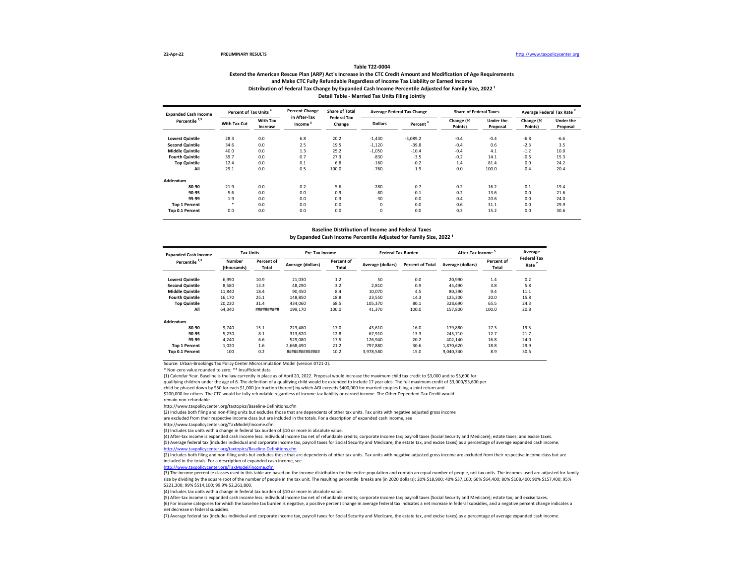# **Extend the American Rescue Plan (ARP) Act's Increase in the CTC Credit Amount and Modification of Age Requirements and Make CTC Fully Refundable Regardless of Income Tax Liability or Earned Income Table T22-0004** Distribution of Federal Tax Change by Expanded Cash Income Percentile Adjusted for Family Size, 2022<sup>1</sup> **Detail Table - Married Tax Units Filing Jointly**

| <b>Expanded Cash Income</b> | Percent of Tax Units |                             | <b>Percent Change</b><br>in After-Tax | <b>Share of Total</b>        |                | <b>Average Federal Tax Change</b> | <b>Share of Federal Taxes</b> |                       | Average Federal Tax Rate |                       |
|-----------------------------|----------------------|-----------------------------|---------------------------------------|------------------------------|----------------|-----------------------------------|-------------------------------|-----------------------|--------------------------|-----------------------|
| Percentile <sup>2,3</sup>   | With Tax Cut         | <b>With Tax</b><br>Increase | Income <sup>5</sup>                   | <b>Federal Tax</b><br>Change | <b>Dollars</b> | Percent <sup>6</sup>              | Change (%<br>Points)          | Under the<br>Proposal | Change (%<br>Points)     | Under the<br>Proposal |
| <b>Lowest Quintile</b>      | 28.3                 | 0.0                         | 6.8                                   | 20.2                         | $-1,430$       | $-3,089.2$                        | $-0.4$                        | $-0.4$                | $-6.8$                   | $-6.6$                |
| <b>Second Quintile</b>      | 34.6                 | 0.0                         | 2.5                                   | 19.5                         | $-1,120$       | $-39.8$                           | $-0.4$                        | 0.6                   | $-2.3$                   | 3.5                   |
| <b>Middle Quintile</b>      | 40.0                 | 0.0                         | 1.3                                   | 25.2                         | $-1.050$       | $-10.4$                           | $-0.4$                        | 4.1                   | $-1.2$                   | 10.0                  |
| <b>Fourth Quintile</b>      | 39.7                 | 0.0                         | 0.7                                   | 27.3                         | $-830$         | $-3.5$                            | $-0.2$                        | 14.1                  | $-0.6$                   | 15.3                  |
| <b>Top Quintile</b>         | 12.4                 | 0.0                         | 0.1                                   | 6.8                          | $-160$         | $-0.2$                            | 1.4                           | 81.4                  | 0.0                      | 24.2                  |
| All                         | 29.1                 | 0.0                         | 0.5                                   | 100.0                        | $-760$         | $-1.9$                            | 0.0                           | 100.0                 | $-0.4$                   | 20.4                  |
| Addendum                    |                      |                             |                                       |                              |                |                                   |                               |                       |                          |                       |
| 80-90                       | 21.9                 | 0.0                         | 0.2                                   | 5.6                          | $-280$         | $-0.7$                            | 0.2                           | 16.2                  | $-0.1$                   | 19.4                  |
| 90-95                       | 5.6                  | 0.0                         | 0.0                                   | 0.9                          | $-80$          | $-0.1$                            | 0.2                           | 13.6                  | 0.0                      | 21.6                  |
| 95-99                       | 1.9                  | 0.0                         | 0.0                                   | 0.3                          | $-30$          | 0.0                               | 0.4                           | 20.6                  | 0.0                      | 24.0                  |
| <b>Top 1 Percent</b>        |                      | 0.0                         | 0.0                                   | 0.0                          | $\mathbf 0$    | 0.0                               | 0.6                           | 31.1                  | 0.0                      | 29.9                  |
| Top 0.1 Percent             | 0.0                  | 0.0                         | 0.0                                   | 0.0                          | 0              | 0.0                               | 0.3                           | 15.2                  | 0.0                      | 30.6                  |

#### **Baseline Distribution of Income and Federal Taxes**

by Expanded Cash Income Percentile Adjusted for Family Size, 2022<sup>1</sup>

| <b>Expanded Cash Income</b> | <b>Tax Units</b>                                           |            | Pre-Tax Income    |                     | <b>Federal Tax Burden</b> |                         | After-Tax Income  |                     | Average                    |
|-----------------------------|------------------------------------------------------------|------------|-------------------|---------------------|---------------------------|-------------------------|-------------------|---------------------|----------------------------|
| Percentile <sup>2,3</sup>   | <b>Number</b><br><b>Percent of</b><br>(thousands)<br>Total |            | Average (dollars) | Percent of<br>Total | Average (dollars)         | <b>Percent of Total</b> | Average (dollars) | Percent of<br>Total | <b>Federal Tax</b><br>Rate |
| <b>Lowest Quintile</b>      | 6.990                                                      | 10.9       | 21.030            | 1.2                 | 50                        | 0.0                     | 20.990            | 1.4                 | 0.2                        |
| <b>Second Quintile</b>      | 8.580                                                      | 13.3       | 48.290            | 3.2                 | 2.810                     | 0.9                     | 45.490            | 3.8                 | 5.8                        |
| <b>Middle Quintile</b>      | 11.840                                                     | 18.4       | 90.450            | 8.4                 | 10.070                    | 4.5                     | 80.390            | 9.4                 | 11.1                       |
| <b>Fourth Quintile</b>      | 16,170                                                     | 25.1       | 148,850           | 18.8                | 23,550                    | 14.3                    | 125,300           | 20.0                | 15.8                       |
| <b>Top Quintile</b>         | 20,230                                                     | 31.4       | 434.060           | 68.5                | 105,370                   | 80.1                    | 328,690           | 65.5                | 24.3                       |
| All                         | 64,340                                                     | ########## | 199.170           | 100.0               | 41,370                    | 100.0                   | 157,800           | 100.0               | 20.8                       |
| Addendum                    |                                                            |            |                   |                     |                           |                         |                   |                     |                            |
| 80-90                       | 9.740                                                      | 15.1       | 223,480           | 17.0                | 43.610                    | 16.0                    | 179,880           | 17.3                | 19.5                       |
| 90-95                       | 5,230                                                      | 8.1        | 313.620           | 12.8                | 67.910                    | 13.3                    | 245,710           | 12.7                | 21.7                       |
| 95-99                       | 4,240                                                      | 6.6        | 529.080           | 17.5                | 126,940                   | 20.2                    | 402.140           | 16.8                | 24.0                       |
| <b>Top 1 Percent</b>        | 1,020                                                      | 1.6        | 2.668.490         | 21.2                | 797.880                   | 30.6                    | 1.870.620         | 18.8                | 29.9                       |
| <b>Top 0.1 Percent</b>      | 100                                                        | 0.2        | ***************   | 10.2                | 3,978,580                 | 15.0                    | 9,040,340         | 8.9                 | 30.6                       |

Source: Urban-Brookings Tax Policy Center Microsimulation Model (version 0721-2).

\* Non-zero value rounded to zero; \*\* Insufficient data

(1) Calendar Year. Baseline is the law currently in place as of April 20, 2022. Proposal would increase the maximum child tax credit to \$3,000 and to \$3,600 for

qualifying children under the age of 6. The definition of a qualifying child would be extended to include 17 year olds. The full maximum credit of \$3,000/\$3,600 per

child be phased down by \$50 for each \$1,000 (or fraction thereof) by which AGI exceeds \$400,000 for married couples filing a joint return and

\$200,000 for others. The CTC would be fully refundable regardless of income tax liability or earned income. The Other Dependent Tax Credit would

remain non-refundable.

http://www.taxpolicycenter.org/taxtopics/Baseline-Definitions.cfm

(2) Includes both filing and non-filing units but excludes those that are dependents of other tax units. Tax units with negative adjusted gross income

are excluded from their respective income class but are included in the totals. For a description of expanded cash income, see

http://www.taxpolicycenter.org/TaxModel/income.cfm

(3) Includes tax units with a change in federal tax burden of \$10 or more in absolute value.

(4) After-tax income is expanded cash income less: individual income tax net of refundable credits; corporate income tax; payroll taxes (Social Security and Medicare); estate taxes; and excise taxes. (5) Average federal tax (includes individual and corporate income tax, payroll taxes for Social Security and Medicare, the estate tax, and excise taxes) as a percentage of average expanded cash income.

er.org/taxtopics/Baseline-Definitions.cfm

(2) Includes both filing and non-filing units but excludes those that are dependents of other tax units. Tax units with negative adjusted gross income are excluded from their respective income class but are included in the totals. For a description of expanded cash income, see

[http://www.taxpolicycent](http://www.taxpolicycenter.org/TaxModel/income.cfm)er.org/TaxModel/income.cfm

(3) The income percentile classes used in this table are based on the income distribution for the entire population and contain an equal number of people, not tax units. The incomes used are adjusted for family size by dividing by the square root of the number of people in the tax unit. The resulting percentile breaks are (in 2020 dollars): 20% \$18,900; 40% \$37,100; 60% \$64,400; 80% \$108,400; 90% \$157,400; 95% \$221,300; 99% \$514,100; 99.9% \$2,261,800.

(4) Includes tax units with a change in federal tax burden of \$10 or more in absolute value.

(5) After-tax income is expanded cash income less: individual income tax net of refundable credits; corporate income tax; payroll taxes (Social Security and Medicare); estate tax; and excise taxes.

(6) For income categories for which the baseline tax burden is negative, a positive percent change in average federal tax indicates a net increase in federal subsidies, and a negative percent change indicates a net decrease in federal subsidies.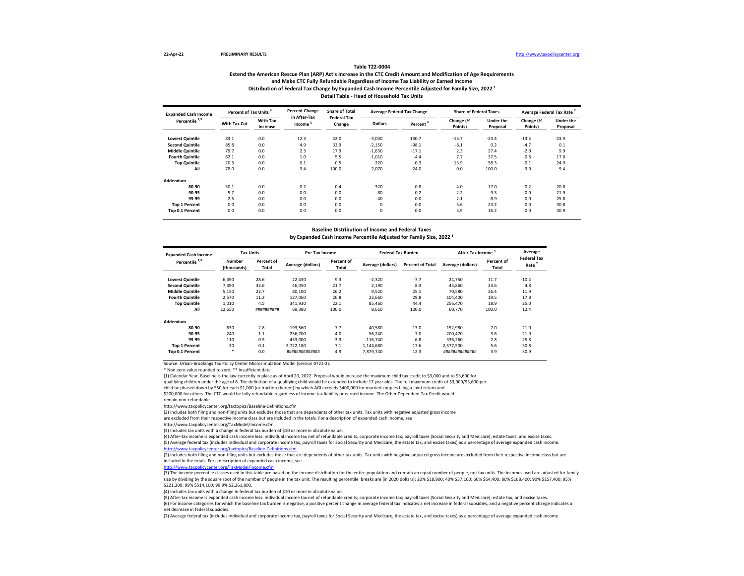# **Extend the American Rescue Plan (ARP) Act's Increase in the CTC Credit Amount and Modification of Age Requirements and Make CTC Fully Refundable Regardless of Income Tax Liability or Earned Income Table T22-0004** Distribution of Federal Tax Change by Expanded Cash Income Percentile Adjusted for Family Size, 2022<sup>1</sup> **Detail Table - Head of Household Tax Units**

| <b>Expanded Cash Income</b> |              | Percent of Tax Units        |                                     | <b>Percent Change</b><br><b>Share of Total</b> |                | <b>Average Federal Tax Change</b> | <b>Share of Federal Taxes</b> |                       | <b>Average Federal Tax Rate</b> |                       |
|-----------------------------|--------------|-----------------------------|-------------------------------------|------------------------------------------------|----------------|-----------------------------------|-------------------------------|-----------------------|---------------------------------|-----------------------|
| Percentile <sup>2,3</sup>   | With Tax Cut | <b>With Tax</b><br>Increase | in After-Tax<br>Income <sup>5</sup> | <b>Federal Tax</b><br>Change                   | <b>Dollars</b> | Percent <sup>6</sup>              | Change (%<br>Points)          | Under the<br>Proposal | Change (%<br>Points)            | Under the<br>Proposal |
| <b>Lowest Quintile</b>      | 83.1         | 0.0                         | 12.3                                | 42.0                                           | $-3,030$       | 130.7                             | $-15.7$                       | $-23.4$               | $-13.5$                         | $-23.9$               |
| <b>Second Quintile</b>      | 85.8         | 0.0                         | 4.9                                 | 33.9                                           | $-2,150$       | $-98.1$                           | $-8.1$                        | 0.2                   | $-4.7$                          | 0.1                   |
| <b>Middle Quintile</b>      | 79.7         | 0.0                         | 2.3                                 | 17.9                                           | $-1,630$       | $-17.1$                           | 2.3                           | 27.4                  | $-2.0$                          | 9.9                   |
| <b>Fourth Quintile</b>      | 62.1         | 0.0                         | 1.0                                 | 5.5                                            | $-1,010$       | $-4.4$                            | 7.7                           | 37.5                  | $-0.8$                          | 17.0                  |
| <b>Top Quintile</b>         | 20.3         | 0.0                         | 0.1                                 | 0.5                                            | $-220$         | $-0.3$                            | 13.9                          | 58.3                  | $-0.1$                          | 24.9                  |
| All                         | 78.0         | 0.0                         | 3.4                                 | 100.0                                          | $-2,070$       | $-24.0$                           | 0.0                           | 100.0                 | $-3.0$                          | 9.4                   |
| Addendum                    |              |                             |                                     |                                                |                |                                   |                               |                       |                                 |                       |
| 80-90                       | 30.1         | 0.0                         | 0.2                                 | 0.4                                            | $-320$         | $-0.8$                            | 4.0                           | 17.0                  | $-0.2$                          | 20.8                  |
| 90-95                       | 5.7          | 0.0                         | 0.0                                 | 0.0                                            | $-80$          | $-0.2$                            | 2.2                           | 9.3                   | 0.0                             | 21.9                  |
| 95-99                       | 2.5          | 0.0                         | 0.0                                 | 0.0                                            | $-40$          | 0.0                               | 2.1                           | 8.9                   | 0.0                             | 25.8                  |
| <b>Top 1 Percent</b>        | 0.0          | 0.0                         | 0.0                                 | 0.0                                            | $\Omega$       | 0.0                               | 5.6                           | 23.2                  | 0.0                             | 30.8                  |
| Top 0.1 Percent             | 0.0          | 0.0                         | 0.0                                 | 0.0                                            | 0              | 0.0                               | 3.9                           | 16.2                  | 0.0                             | 30.9                  |

#### **Baseline Distribution of Income and Federal Taxes**

by Expanded Cash Income Percentile Adjusted for Family Size, 2022<sup>1</sup>

| <b>Expanded Cash Income</b> | <b>Tax Units</b>             |                     | Pre-Tax Income    |                     | <b>Federal Tax Burden</b> |                         | After-Tax Income  |                            | Average<br><b>Federal Tax</b> |
|-----------------------------|------------------------------|---------------------|-------------------|---------------------|---------------------------|-------------------------|-------------------|----------------------------|-------------------------------|
| Percentile <sup>2,3</sup>   | <b>Number</b><br>(thousands) | Percent of<br>Total | Average (dollars) | Percent of<br>Total | Average (dollars)         | <b>Percent of Total</b> | Average (dollars) | <b>Percent of</b><br>Total | Rate                          |
| <b>Lowest Quintile</b>      | 6.490                        | 28.6                | 22.430            | 9.3                 | $-2.320$                  | $-7.7$                  | 24.750            | 11.7                       | $-10.4$                       |
| <b>Second Quintile</b>      | 7,390                        | 32.6                | 46,050            | 21.7                | 2,190                     | 8.3                     | 43,860            | 23.6                       | 4.8                           |
| <b>Middle Quintile</b>      | 5,150                        | 22.7                | 80,100            | 26.2                | 9,520                     | 25.1                    | 70,580            | 26.4                       | 11.9                          |
| <b>Fourth Quintile</b>      | 2,570                        | 11.3                | 127.060           | 20.8                | 22,660                    | 29.8                    | 104,400           | 19.5                       | 17.8                          |
| <b>Top Quintile</b>         | 1,010                        | 4.5                 | 341,930           | 22.1                | 85,460                    | 44.4                    | 256,470           | 18.9                       | 25.0                          |
| All                         | 22,650                       | ##########          | 69.380            | 100.0               | 8.610                     | 100.0                   | 60.770            | 100.0                      | 12.4                          |
| Addendum                    |                              |                     |                   |                     |                           |                         |                   |                            |                               |
| 80-90                       | 630                          | 2.8                 | 193,560           | 7.7                 | 40.580                    | 13.0                    | 152,980           | 7.0                        | 21.0                          |
| 90-95                       | 240                          | 1.1                 | 256,700           | 4.0                 | 56.240                    | 7.0                     | 200.470           | 3.6                        | 21.9                          |
| 95-99                       | 110                          | 0.5                 | 453.000           | 3.3                 | 116,740                   | 6.8                     | 336,260           | 2.8                        | 25.8                          |
| <b>Top 1 Percent</b>        | 30                           | 0.1                 | 3.722.180         | 7.1                 | 1,144,680                 | 17.6                    | 2.577.500         | 5.6                        | 30.8                          |
| Top 0.1 Percent             |                              | 0.0                 | ##############    | 4.9                 | 7,879,740                 | 12.3                    | ***************   | 3.9                        | 30.9                          |

Source: Urban-Brookings Tax Policy Center Microsimulation Model (version 0721-2).

\* Non-zero value rounded to zero; \*\* Insufficient data

(1) Calendar Year. Baseline is the law currently in place as of April 20, 2022. Proposal would increase the maximum child tax credit to \$3,000 and to \$3,600 for

qualifying children under the age of 6. The definition of a qualifying child would be extended to include 17 year olds. The full maximum credit of \$3,000/\$3,600 per

child be phased down by \$50 for each \$1,000 (or fraction thereof) by which AGI exceeds \$400,000 for married couples filing a joint return and

\$200,000 for others. The CTC would be fully refundable regardless of income tax liability or earned income. The Other Dependent Tax Credit would

remain non-refundable.

http://www.taxpolicycenter.org/taxtopics/Baseline-Definitions.cfm

(2) Includes both filing and non-filing units but excludes those that are dependents of other tax units. Tax units with negative adjusted gross income

are excluded from their respective income class but are included in the totals. For a description of expanded cash income, see

http://www.taxpolicycenter.org/TaxModel/income.cfm

(3) Includes tax units with a change in federal tax burden of \$10 or more in absolute value.

(4) After-tax income is expanded cash income less: individual income tax net of refundable credits; corporate income tax; payroll taxes (Social Security and Medicare); estate taxes; and excise taxes. (5) Average federal tax (includes individual and corporate income tax, payroll taxes for Social Security and Medicare, the estate tax, and excise taxes) as a percentage of average expanded cash income.

er.org/taxtopics/Baseline-Definitions.cfm

(2) Includes both filing and non-filing units but excludes those that are dependents of other tax units. Tax units with negative adjusted gross income are excluded from their respective income class but are included in the totals. For a description of expanded cash income, see

[http://www.taxpolicycent](http://www.taxpolicycenter.org/TaxModel/income.cfm)er.org/TaxModel/income.cfm

(3) The income percentile classes used in this table are based on the income distribution for the entire population and contain an equal number of people, not tax units. The incomes used are adjusted for family size by dividing by the square root of the number of people in the tax unit. The resulting percentile breaks are (in 2020 dollars): 20% \$18,900; 40% \$37,100; 60% \$64,400; 80% \$108,400; 90% \$157,400; 95% \$221,300; 99% \$514,100; 99.9% \$2,261,800.

(4) Includes tax units with a change in federal tax burden of \$10 or more in absolute value.

(5) After-tax income is expanded cash income less: individual income tax net of refundable credits; corporate income tax; payroll taxes (Social Security and Medicare); estate tax; and excise taxes.

(6) For income categories for which the baseline tax burden is negative, a positive percent change in average federal tax indicates a net increase in federal subsidies, and a negative percent change indicates a net decrease in federal subsidies.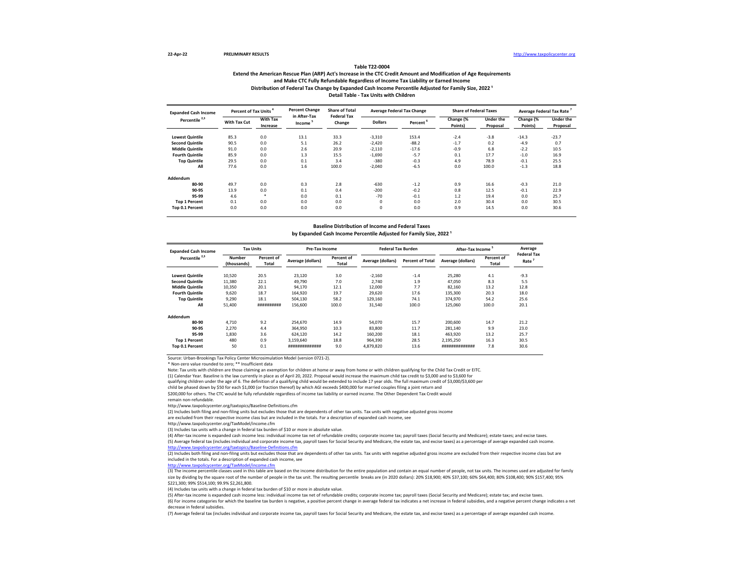# **Extend the American Rescue Plan (ARP) Act's Increase in the CTC Credit Amount and Modification of Age Requirements and Make CTC Fully Refundable Regardless of Income Tax Liability or Earned Income Table T22-0004** Distribution of Federal Tax Change by Expanded Cash Income Percentile Adjusted for Family Size, 2022<sup>1</sup> **Detail Table - Tax Units with Children**

| <b>Expanded Cash Income</b> | Percent of Tax Units |                             | <b>Percent Change</b>  | <b>Share of Total</b>        |                | <b>Average Federal Tax Change</b> | <b>Share of Federal Taxes</b> |                       | Average Federal Tax Rate |                       |
|-----------------------------|----------------------|-----------------------------|------------------------|------------------------------|----------------|-----------------------------------|-------------------------------|-----------------------|--------------------------|-----------------------|
| Percentile <sup>2,3</sup>   | With Tax Cut         | <b>With Tax</b><br>Increase | in After-Tax<br>Income | <b>Federal Tax</b><br>Change | <b>Dollars</b> | Percent <sup>®</sup>              | Change (%<br>Points)          | Under the<br>Proposal | Change (%<br>Points)     | Under the<br>Proposal |
| <b>Lowest Quintile</b>      | 85.3                 | 0.0                         | 13.1                   | 33.3                         | $-3,310$       | 153.4                             | $-2.4$                        | $-3.8$                | $-14.3$                  | $-23.7$               |
| <b>Second Quintile</b>      | 90.5                 | 0.0                         | 5.1                    | 26.2                         | $-2,420$       | $-88.2$                           | $-1.7$                        | 0.2                   | $-4.9$                   | 0.7                   |
| <b>Middle Quintile</b>      | 91.0                 | 0.0                         | 2.6                    | 20.9                         | $-2,110$       | $-17.6$                           | $-0.9$                        | 6.8                   | $-2.2$                   | 10.5                  |
| <b>Fourth Quintile</b>      | 85.9                 | 0.0                         | 1.3                    | 15.5                         | $-1,690$       | $-5.7$                            | 0.1                           | 17.7                  | $-1.0$                   | 16.9                  |
| <b>Top Quintile</b>         | 29.5                 | 0.0                         | 0.1                    | 3.4                          | $-380$         | $-0.3$                            | 4.9                           | 78.9                  | $-0.1$                   | 25.5                  |
| All                         | 77.6                 | 0.0                         | 1.6                    | 100.0                        | $-2,040$       | $-6.5$                            | 0.0                           | 100.0                 | $-1.3$                   | 18.8                  |
| Addendum                    |                      |                             |                        |                              |                |                                   |                               |                       |                          |                       |
| 80-90                       | 49.7                 | 0.0                         | 0.3                    | 2.8                          | $-630$         | $-1.2$                            | 0.9                           | 16.6                  | $-0.3$                   | 21.0                  |
| 90-95                       | 13.9                 | 0.0                         | 0.1                    | 0.4                          | $-200$         | $-0.2$                            | 0.8                           | 12.5                  | $-0.1$                   | 22.9                  |
| 95-99                       | 4.6                  | *                           | 0.0                    | 0.1                          | $-70$          | $-0.1$                            | 1.2                           | 19.4                  | 0.0                      | 25.7                  |
| <b>Top 1 Percent</b>        | 0.1                  | 0.0                         | 0.0                    | 0.0                          | O              | 0.0                               | 2.0                           | 30.4                  | 0.0                      | 30.5                  |
| Top 0.1 Percent             | 0.0                  | 0.0                         | 0.0                    | 0.0                          | 0              | 0.0                               | 0.9                           | 14.5                  | 0.0                      | 30.6                  |

# **Baseline Distribution of Income and Federal Taxes** by Expanded Cash Income Percentile Adjusted for Family Size, 2022<sup>1</sup>

| <b>Expanded Cash Income</b> | <b>Tax Units</b>      |                     | <b>Pre-Tax Income</b> |                     | <b>Federal Tax Burden</b> |                         | <b>After-Tax Income</b> |                     | Average                    |
|-----------------------------|-----------------------|---------------------|-----------------------|---------------------|---------------------------|-------------------------|-------------------------|---------------------|----------------------------|
| Percentile <sup>2,3</sup>   | Number<br>(thousands) | Percent of<br>Total | Average (dollars)     | Percent of<br>Total | Average (dollars)         | <b>Percent of Total</b> | Average (dollars)       | Percent of<br>Total | <b>Federal Tax</b><br>Rate |
| <b>Lowest Quintile</b>      | 10,520                | 20.5                | 23,120                | 3.0                 | $-2,160$                  | $-1.4$                  | 25,280                  | 4.1                 | $-9.3$                     |
| <b>Second Quintile</b>      | 11.380                | 22.1                | 49.790                | 7.0                 | 2.740                     | 1.9                     | 47.050                  | 8.3                 | 5.5                        |
| <b>Middle Quintile</b>      | 10.350                | 20.1                | 94.170                | 12.1                | 12,000                    | 7.7                     | 82.160                  | 13.2                | 12.8                       |
| <b>Fourth Quintile</b>      | 9.620                 | 18.7                | 164,920               | 19.7                | 29,620                    | 17.6                    | 135,300                 | 20.3                | 18.0                       |
| <b>Top Quintile</b>         | 9.290                 | 18.1                | 504.130               | 58.2                | 129,160                   | 74.1                    | 374,970                 | 54.2                | 25.6                       |
| All                         | 51,400                | ##########          | 156,600               | 100.0               | 31,540                    | 100.0                   | 125.060                 | 100.0               | 20.1                       |
| Addendum                    |                       |                     |                       |                     |                           |                         |                         |                     |                            |
| 80-90                       | 4.710                 | 9.2                 | 254.670               | 14.9                | 54.070                    | 15.7                    | 200,600                 | 14.7                | 21.2                       |
| 90-95                       | 2,270                 | 4.4                 | 364,950               | 10.3                | 83,800                    | 11.7                    | 281.140                 | 9.9                 | 23.0                       |
| 95-99                       | 1.830                 | 3.6                 | 624.120               | 14.2                | 160,200                   | 18.1                    | 463.920                 | 13.2                | 25.7                       |
| <b>Top 1 Percent</b>        | 480                   | 0.9                 | 3.159.640             | 18.8                | 964.390                   | 28.5                    | 2.195.250               | 16.3                | 30.5                       |
| <b>Top 0.1 Percent</b>      | 50                    | 0.1                 | ***************       | 9.0                 | 4,879,820                 | 13.6                    | ##############          | 7.8                 | 30.6                       |

Source: Urban-Brookings Tax Policy Center Microsimulation Model (version 0721-2).

\* Non-zero value rounded to zero; \*\* Insufficient data

Note: Tax units with children are those claiming an exemption for children at home or away from home or with children qualifying for the Child Tax Credit or EITC.

(1) Calendar Year. Baseline is the law currently in place as of April 20, 2022. Proposal would increase the maximum child tax credit to \$3,000 and to \$3,600 for

qualifying children under the age of 6. The definition of a qualifying child would be extended to include 17 year olds. The full maximum credit of \$3,000/\$3,600 per

child be phased down by \$50 for each \$1,000 (or fraction thereof) by which AGI exceeds \$400,000 for married couples filing a joint return and

\$200,000 for others. The CTC would be fully refundable regardless of income tax liability or earned income. The Other Dependent Tax Credit would

remain non-refundable.

http://www.taxpolicycenter.org/taxtopics/Baseline-Definitions.cfm

(2) Includes both filing and non-filing units but excludes those that are dependents of other tax units. Tax units with negative adjusted gross income

are excluded from their respective income class but are included in the totals. For a description of expanded cash income, see

http://www.taxpolicycenter.org/TaxModel/income.cfm

(3) Includes tax units with a change in federal tax burden of \$10 or more in absolute value.

(4) After-tax income is expanded cash income less: individual income tax net of refundable credits; corporate income tax; payroll taxes (Social Security and Medicare); estate taxes; and excise taxes. (5) Average federal tax (includes individual and corporate income tax, payroll taxes for Social Security and Medicare, the estate tax, and excise taxes) as a percentage of average expanded cash income. <http://www.taxpolicycenter.org/taxtopics/Baseline-Definitions.cfm>

(2) Includes both filing and non-filing units but excludes those that are dependents of other tax units. Tax units with negative adjusted gross income are excluded from their respective income class but are included in the totals. For a description of expanded cash income, see

[http://www.taxpolicycente](http://www.taxpolicycenter.org/TaxModel/income.cfm)r.org/TaxModel/income.cfm

(3) The income percentile classes used in this table are based on the income distribution for the entire population and contain an equal number of people, not tax units. The incomes used are adjusted for family size by dividing by the square root of the number of people in the tax unit. The resulting percentile breaks are (in 2020 dollars): 20% \$18,900; 40% \$18,7100; 60% \$64,400; 80% \$108,400; 90% \$17,400; 90% \$157,400; 95% \$221,300; 99% \$514,100; 99.9% \$2,261,800.

(4) Includes tax units with a change in federal tax burden of \$10 or more in absolute value.

(5) After-tax income is expanded cash income less: individual income tax net of refundable credits; corporate income tax; payroll taxes (Social Security and Medicare); estate tax; and excise taxes.

(6) For income categories for which the baseline tax burden is negative, a positive percent change in average federal tax indicates a net increase in federal subsidies, and a negative percent change indicates a net decrease in federal subsidies.